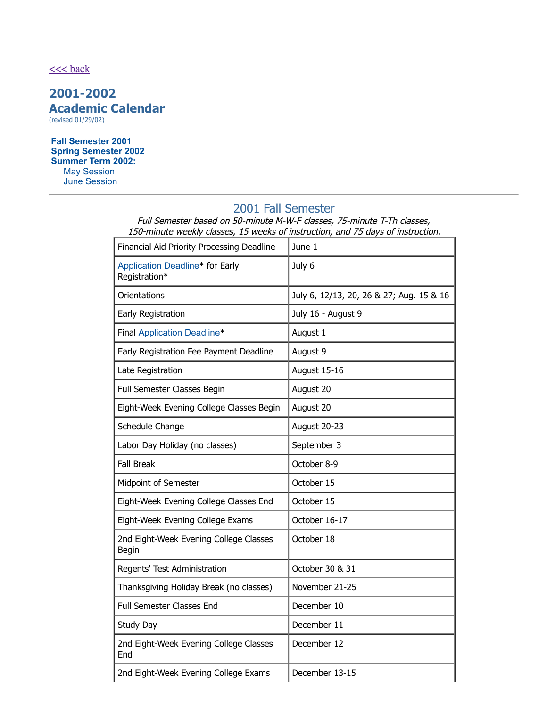#### $<<$  back

# **2001-2002 Academic Calendar**

(revised 01/29/02)

**Fall [Semester](#page-0-0) 2001 Spring [Semester](#page-1-0) 2002 [Summer](#page-1-1) Term 2002:** May Session June Session

## <span id="page-0-0"></span>2001 Fall Semester

Full Semester based on 50-minute M-W-F classes, 75-minute T-Th classes, 150-minute weekly classes, 15 weeks of instruction, and 75 days of instruction.

| Financial Aid Priority Processing Deadline       | June 1                                   |
|--------------------------------------------------|------------------------------------------|
| Application Deadline* for Early<br>Registration* | July 6                                   |
| Orientations                                     | July 6, 12/13, 20, 26 & 27; Aug. 15 & 16 |
| Early Registration                               | July 16 - August 9                       |
| Final Application Deadline*                      | August 1                                 |
| Early Registration Fee Payment Deadline          | August 9                                 |
| Late Registration                                | August 15-16                             |
| Full Semester Classes Begin                      | August 20                                |
| Eight-Week Evening College Classes Begin         | August 20                                |
| Schedule Change                                  | August 20-23                             |
| Labor Day Holiday (no classes)                   | September 3                              |
| <b>Fall Break</b>                                | October 8-9                              |
| Midpoint of Semester                             | October 15                               |
| Eight-Week Evening College Classes End           | October 15                               |
| Eight-Week Evening College Exams                 | October 16-17                            |
| 2nd Eight-Week Evening College Classes<br>Begin  | October 18                               |
| Regents' Test Administration                     | October 30 & 31                          |
| Thanksgiving Holiday Break (no classes)          | November 21-25                           |
| <b>Full Semester Classes End</b>                 | December 10                              |
| Study Day                                        | December 11                              |
| 2nd Eight-Week Evening College Classes<br>End    | December 12                              |
| 2nd Eight-Week Evening College Exams             | December 13-15                           |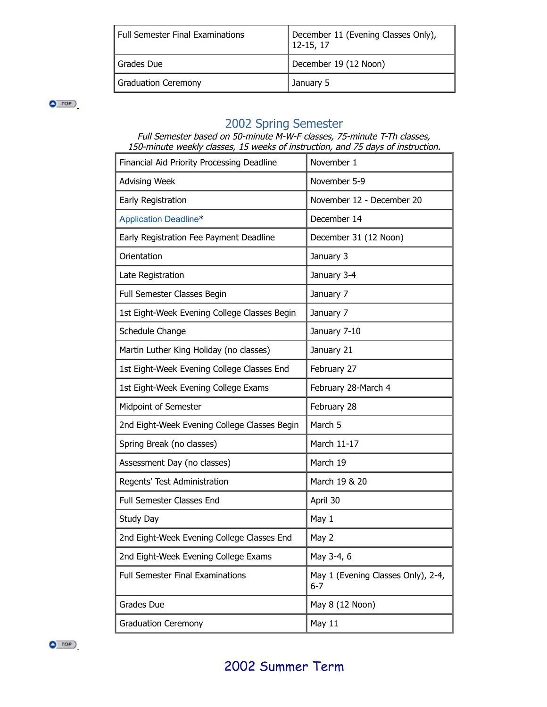| Full Semester Final Examinations | December 11 (Evening Classes Only),<br>$12 - 15, 17$ |
|----------------------------------|------------------------------------------------------|
| Grades Due                       | December 19 (12 Noon)                                |
| Graduation Ceremony              | January 5                                            |

 $\bullet$  TOP

#### <span id="page-1-0"></span>2002 Spring Semester

Full Semester based on 50-minute M-W-F classes, 75-minute T-Th classes, 150-minute weekly classes, 15 weeks of instruction, and 75 days of instruction.

<span id="page-1-1"></span>

| Financial Aid Priority Processing Deadline   | November 1                                    |
|----------------------------------------------|-----------------------------------------------|
| <b>Advising Week</b>                         | November 5-9                                  |
| Early Registration                           | November 12 - December 20                     |
| <b>Application Deadline*</b>                 | December 14                                   |
| Early Registration Fee Payment Deadline      | December 31 (12 Noon)                         |
| Orientation                                  | January 3                                     |
| Late Registration                            | January 3-4                                   |
| Full Semester Classes Begin                  | January 7                                     |
| 1st Eight-Week Evening College Classes Begin | January 7                                     |
| Schedule Change                              | January 7-10                                  |
| Martin Luther King Holiday (no classes)      | January 21                                    |
| 1st Eight-Week Evening College Classes End   | February 27                                   |
| 1st Eight-Week Evening College Exams         | February 28-March 4                           |
| Midpoint of Semester                         | February 28                                   |
| 2nd Eight-Week Evening College Classes Begin | March 5                                       |
| Spring Break (no classes)                    | March 11-17                                   |
| Assessment Day (no classes)                  | March 19                                      |
| Regents' Test Administration                 | March 19 & 20                                 |
| Full Semester Classes End                    | April 30                                      |
| Study Day                                    | May 1                                         |
| 2nd Eight-Week Evening College Classes End   | May 2                                         |
| 2nd Eight-Week Evening College Exams         | May 3-4, 6                                    |
| <b>Full Semester Final Examinations</b>      | May 1 (Evening Classes Only), 2-4,<br>$6 - 7$ |
| Grades Due                                   | May 8 (12 Noon)                               |
| <b>Graduation Ceremony</b>                   | May 11                                        |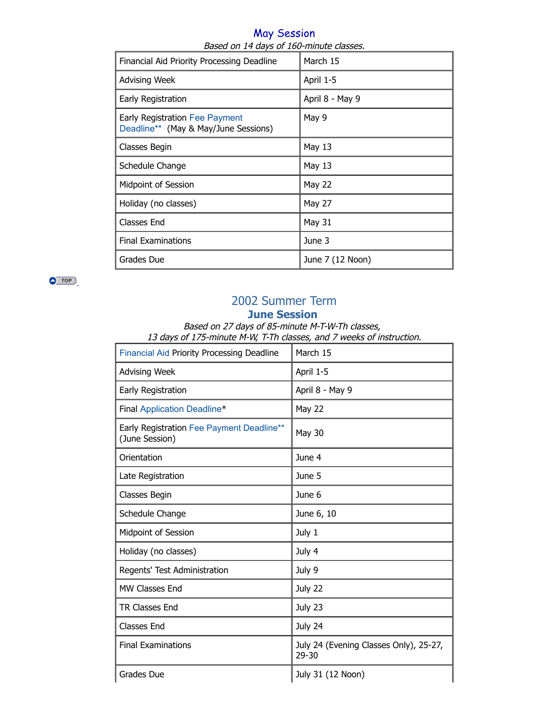#### May Session Based on 14 days of 160-minute classes.

| Financial Aid Priority Processing Deadline                                    | March 15         |
|-------------------------------------------------------------------------------|------------------|
| <b>Advising Week</b>                                                          | April 1-5        |
| Early Registration                                                            | April 8 - May 9  |
| <b>Early Registration Fee Payment</b><br>Deadline** (May & May/June Sessions) | May 9            |
| Classes Begin                                                                 | May 13           |
| Schedule Change                                                               | May 13           |
| <b>Midpoint of Session</b>                                                    | <b>May 22</b>    |
| Holiday (no classes)                                                          | <b>May 27</b>    |
| <b>Classes End</b>                                                            | <b>May 31</b>    |
| <b>Final Examinations</b>                                                     | June 3           |
| Grades Due                                                                    | June 7 (12 Noon) |

 $\bullet$  TOP

# 2002 Summer Term

### **June Session**

Based on 27 days of 85-minute M-T-W-Th classes, 13 days of 175-minute M-W, T-Th classes, and 7 weeks of instruction.

| <b>Financial Aid Priority Processing Deadline</b>           | March 15                                            |
|-------------------------------------------------------------|-----------------------------------------------------|
| <b>Advising Week</b>                                        | April 1-5                                           |
| Early Registration                                          | April 8 - May 9                                     |
| Final Application Deadline*                                 | <b>May 22</b>                                       |
| Early Registration Fee Payment Deadline**<br>(June Session) | <b>May 30</b>                                       |
| Orientation                                                 | June 4                                              |
| Late Registration                                           | June 5                                              |
| Classes Begin                                               | June 6                                              |
| Schedule Change                                             | June 6, 10                                          |
| Midpoint of Session                                         | July 1                                              |
| Holiday (no classes)                                        | July 4                                              |
| Regents' Test Administration                                | July 9                                              |
| MW Classes End                                              | July 22                                             |
| <b>TR Classes End</b>                                       | July 23                                             |
| <b>Classes End</b>                                          | July 24                                             |
| <b>Final Examinations</b>                                   | July 24 (Evening Classes Only), 25-27,<br>$29 - 30$ |
| Grades Due                                                  | July 31 (12 Noon)                                   |